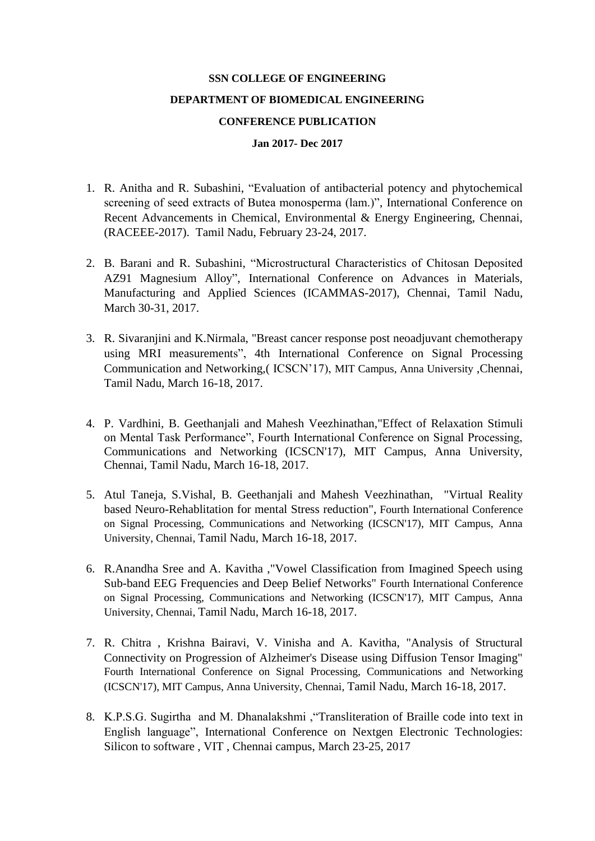## **SSN COLLEGE OF ENGINEERING DEPARTMENT OF BIOMEDICAL ENGINEERING CONFERENCE PUBLICATION**

## **Jan 2017- Dec 2017**

- 1. R. Anitha and R. Subashini, "Evaluation of antibacterial potency and phytochemical screening of seed extracts of Butea monosperma (lam.)", International Conference on Recent Advancements in Chemical, Environmental & Energy Engineering, Chennai, (RACEEE-2017). Tamil Nadu, February 23-24, 2017.
- 2. B. Barani and R. Subashini, "Microstructural Characteristics of Chitosan Deposited AZ91 Magnesium Alloy", International Conference on Advances in Materials, Manufacturing and Applied Sciences (ICAMMAS-2017), Chennai, Tamil Nadu, March 30-31, 2017.
- 3. R. Sivaranjini and K.Nirmala, "Breast cancer response post neoadjuvant chemotherapy using MRI measurements", 4th International Conference on Signal Processing Communication and Networking,( ICSCN'17), MIT Campus, Anna University ,Chennai, Tamil Nadu, March 16-18, 2017.
- 4. P. Vardhini, B. Geethanjali and Mahesh Veezhinathan,"Effect of Relaxation Stimuli on Mental Task Performance", Fourth International Conference on Signal Processing, Communications and Networking (ICSCN'17), MIT Campus, Anna University, Chennai, Tamil Nadu, March 16-18, 2017.
- 5. Atul Taneja, S.Vishal, B. Geethanjali and Mahesh Veezhinathan, "Virtual Reality based Neuro-Rehablitation for mental Stress reduction", Fourth International Conference on Signal Processing, Communications and Networking (ICSCN'17), MIT Campus, Anna University, Chennai, Tamil Nadu, March 16-18, 2017.
- 6. R.Anandha Sree and A. Kavitha ,"Vowel Classification from Imagined Speech using Sub-band EEG Frequencies and Deep Belief Networks" Fourth International Conference on Signal Processing, Communications and Networking (ICSCN'17), MIT Campus, Anna University, Chennai, Tamil Nadu, March 16-18, 2017.
- 7. R. Chitra , Krishna Bairavi, V. Vinisha and A. Kavitha, "Analysis of Structural Connectivity on Progression of Alzheimer's Disease using Diffusion Tensor Imaging" Fourth International Conference on Signal Processing, Communications and Networking (ICSCN'17), MIT Campus, Anna University, Chennai, Tamil Nadu, March 16-18, 2017.
- 8. K.P.S.G. Sugirtha and M. Dhanalakshmi ,"Transliteration of Braille code into text in English language", International Conference on Nextgen Electronic Technologies: Silicon to software , VIT , Chennai campus, March 23-25, 2017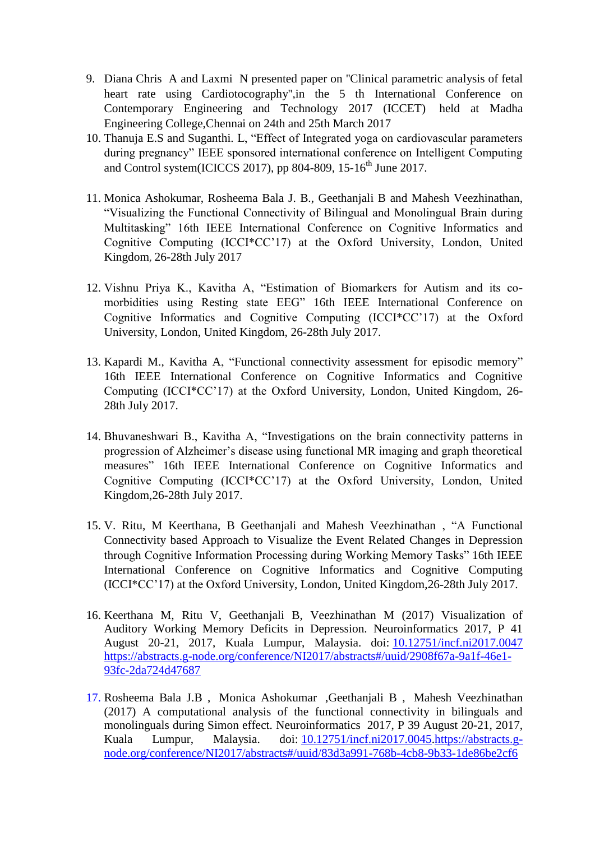- 9. Diana Chris A and Laxmi N presented paper on ''Clinical parametric analysis of fetal heart rate using Cardiotocography'',in the 5 th International Conference on Contemporary Engineering and Technology 2017 (ICCET) held at Madha Engineering College,Chennai on 24th and 25th March 2017
- 10. Thanuja E.S and Suganthi. L, "Effect of Integrated yoga on cardiovascular parameters during pregnancy" IEEE sponsored international conference on Intelligent Computing and Control system(ICICCS 2017), pp 804-809, 15-16<sup>th</sup> June 2017.
- 11. Monica Ashokumar, Rosheema Bala J. B., Geethanjali B and Mahesh Veezhinathan, "Visualizing the Functional Connectivity of Bilingual and Monolingual Brain during Multitasking" 16th IEEE International Conference on Cognitive Informatics and Cognitive Computing (ICCI\*CC'17) at the Oxford University, London, United Kingdom, 26-28th July 2017
- 12. Vishnu Priya K., Kavitha A, "Estimation of Biomarkers for Autism and its comorbidities using Resting state EEG" 16th IEEE International Conference on Cognitive Informatics and Cognitive Computing (ICCI\*CC'17) at the Oxford University, London, United Kingdom, 26-28th July 2017.
- 13. Kapardi M., Kavitha A, "Functional connectivity assessment for episodic memory" 16th IEEE International Conference on Cognitive Informatics and Cognitive Computing (ICCI\*CC'17) at the Oxford University, London, United Kingdom, 26- 28th July 2017.
- 14. Bhuvaneshwari B., Kavitha A, "Investigations on the brain connectivity patterns in progression of Alzheimer's disease using functional MR imaging and graph theoretical measures" 16th IEEE International Conference on Cognitive Informatics and Cognitive Computing (ICCI\*CC'17) at the Oxford University, London, United Kingdom,26-28th July 2017.
- 15. V. Ritu, M Keerthana, B Geethanjali and Mahesh Veezhinathan , "A Functional Connectivity based Approach to Visualize the Event Related Changes in Depression through Cognitive Information Processing during Working Memory Tasks" 16th IEEE International Conference on Cognitive Informatics and Cognitive Computing (ICCI\*CC'17) at the Oxford University, London, United Kingdom,26-28th July 2017.
- 16. Keerthana M, Ritu V, Geethanjali B, Veezhinathan M (2017) Visualization of Auditory Working Memory Deficits in Depression. Neuroinformatics 2017, P 41 August 20-21, 2017, Kuala Lumpur, Malaysia. doi: [10.12751/incf.ni2017.0047](http://doi.org/10.12751/incf.ni2017.0047) [https://abstracts.g-node.org/conference/NI2017/abstracts#/uuid/2908f67a-9a1f-46e1-](https://abstracts.g-node.org/conference/NI2017/abstracts#/uuid/2908f67a-9a1f-46e1-93fc-2da724d47687) [93fc-2da724d47687](https://abstracts.g-node.org/conference/NI2017/abstracts#/uuid/2908f67a-9a1f-46e1-93fc-2da724d47687)
- 17. Rosheema Bala J.B , Monica Ashokumar ,Geethanjali B , Mahesh Veezhinathan (2017) A computational analysis of the functional connectivity in bilinguals and monolinguals during Simon effect. Neuroinformatics 2017, P 39 August 20-21, 2017, Kuala Lumpur, Malaysia. doi: [10.12751/incf.ni2017.0045](http://doi.org/10.12751/incf.ni2017.0045)[.https://abstracts.g](https://abstracts.g-node.org/conference/NI2017/abstracts#/uuid/83d3a991-768b-4cb8-9b33-1de86be2cf6)[node.org/conference/NI2017/abstracts#/uuid/83d3a991-768b-4cb8-9b33-1de86be2cf6](https://abstracts.g-node.org/conference/NI2017/abstracts#/uuid/83d3a991-768b-4cb8-9b33-1de86be2cf6)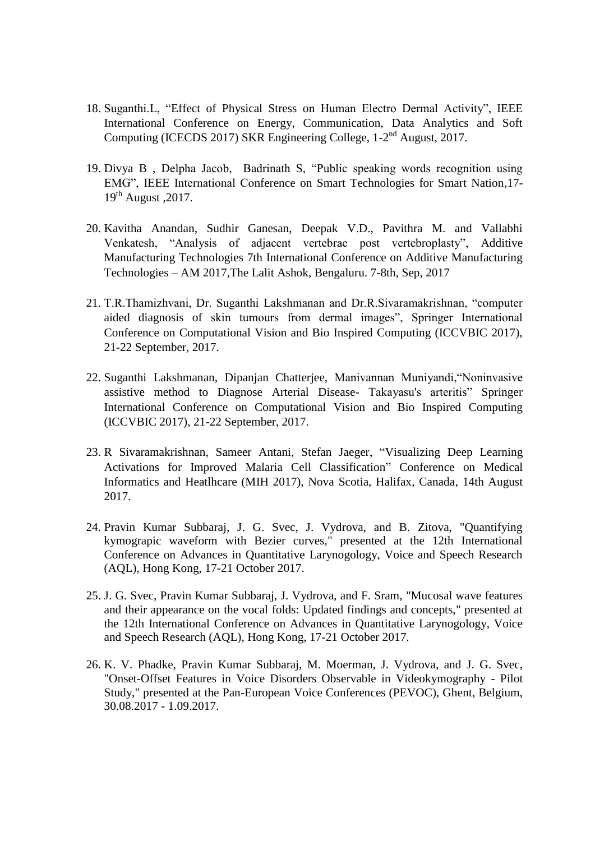- 18. Suganthi.L, "Effect of Physical Stress on Human Electro Dermal Activity", IEEE International Conference on Energy, Communication, Data Analytics and Soft Computing (ICECDS 2017) SKR Engineering College, 1-2<sup>nd</sup> August, 2017.
- 19. Divya B , Delpha Jacob, Badrinath S, "Public speaking words recognition using EMG", IEEE International Conference on Smart Technologies for Smart Nation,17-  $19<sup>th</sup>$  August , 2017.
- 20. Kavitha Anandan, Sudhir Ganesan, Deepak V.D., Pavithra M. and Vallabhi Venkatesh, "Analysis of adjacent vertebrae post vertebroplasty", Additive Manufacturing Technologies 7th International Conference on Additive Manufacturing Technologies – AM 2017,The Lalit Ashok, Bengaluru. 7-8th, Sep, 2017
- 21. T.R.Thamizhvani, Dr. Suganthi Lakshmanan and Dr.R.Sivaramakrishnan, "computer aided diagnosis of skin tumours from dermal images", Springer International Conference on Computational Vision and Bio Inspired Computing (ICCVBIC 2017), 21-22 September, 2017.
- 22. Suganthi Lakshmanan, Dipanjan Chatterjee, Manivannan Muniyandi,"Noninvasive assistive method to Diagnose Arterial Disease- Takayasu's arteritis" Springer International Conference on Computational Vision and Bio Inspired Computing (ICCVBIC 2017), 21-22 September, 2017.
- 23. R Sivaramakrishnan, Sameer Antani, Stefan Jaeger, "Visualizing Deep Learning Activations for Improved Malaria Cell Classification" Conference on Medical Informatics and Heatlhcare (MIH 2017), Nova Scotia, Halifax, Canada, 14th August 2017.
- 24. Pravin Kumar Subbaraj, J. G. Svec, J. Vydrova, and B. Zitova, "Quantifying kymograpic waveform with Bezier curves," presented at the 12th International Conference on Advances in Quantitative Larynogology, Voice and Speech Research (AQL), Hong Kong, 17-21 October 2017.
- 25. J. G. Svec, Pravin Kumar Subbaraj, J. Vydrova, and F. Sram, "Mucosal wave features and their appearance on the vocal folds: Updated findings and concepts," presented at the 12th International Conference on Advances in Quantitative Larynogology, Voice and Speech Research (AQL), Hong Kong, 17-21 October 2017.
- 26. K. V. Phadke, Pravin Kumar Subbaraj, M. Moerman, J. Vydrova, and J. G. Svec, "Onset-Offset Features in Voice Disorders Observable in Videokymography - Pilot Study," presented at the Pan-European Voice Conferences (PEVOC), Ghent, Belgium, 30.08.2017 - 1.09.2017.